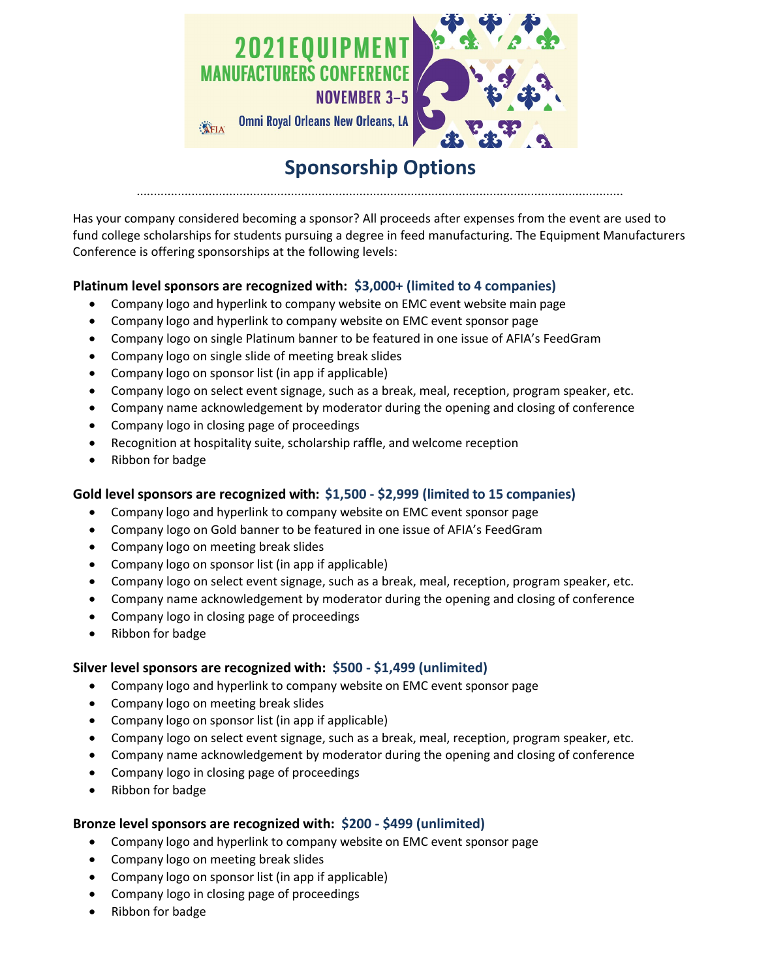

# **Sponsorship Options** ..............................................................................................................................................

Has your company considered becoming a sponsor? All proceeds after expenses from the event are used to fund college scholarships for students pursuing a degree in feed manufacturing. The Equipment Manufacturers Conference is offering sponsorships at the following levels:

## **Platinum level sponsors are recognized with: \$3,000+ (limited to 4 companies)**

- Company logo and hyperlink to company website on EMC event website main page
- Company logo and hyperlink to company website on EMC event sponsor page
- Company logo on single Platinum banner to be featured in one issue of AFIA's FeedGram
- Company logo on single slide of meeting break slides
- Company logo on sponsor list (in app if applicable)
- Company logo on select event signage, such as a break, meal, reception, program speaker, etc.
- Company name acknowledgement by moderator during the opening and closing of conference
- Company logo in closing page of proceedings
- Recognition at hospitality suite, scholarship raffle, and welcome reception
- Ribbon for badge

### **Gold level sponsors are recognized with: \$1,500 - \$2,999 (limited to 15 companies)**

- Company logo and hyperlink to company website on EMC event sponsor page
- Company logo on Gold banner to be featured in one issue of AFIA's FeedGram
- Company logo on meeting break slides
- Company logo on sponsor list (in app if applicable)
- Company logo on select event signage, such as a break, meal, reception, program speaker, etc.
- Company name acknowledgement by moderator during the opening and closing of conference
- Company logo in closing page of proceedings
- Ribbon for badge

### **Silver level sponsors are recognized with: \$500 - \$1,499 (unlimited)**

- Company logo and hyperlink to company website on EMC event sponsor page
- Company logo on meeting break slides
- Company logo on sponsor list (in app if applicable)
- Company logo on select event signage, such as a break, meal, reception, program speaker, etc.
- Company name acknowledgement by moderator during the opening and closing of conference
- Company logo in closing page of proceedings
- Ribbon for badge

### **Bronze level sponsors are recognized with: \$200 - \$499 (unlimited)**

- Company logo and hyperlink to company website on EMC event sponsor page
- Company logo on meeting break slides
- Company logo on sponsor list (in app if applicable)
- Company logo in closing page of proceedings
- Ribbon for badge